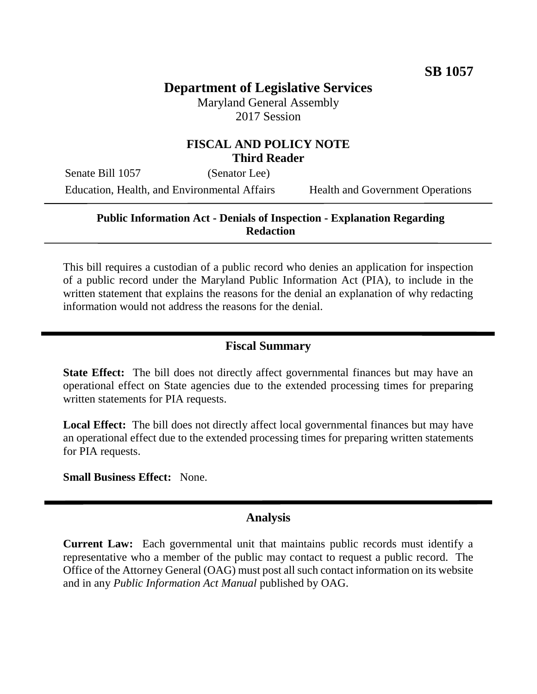# **Department of Legislative Services**

Maryland General Assembly 2017 Session

# **FISCAL AND POLICY NOTE Third Reader**

Senate Bill 1057 (Senator Lee) Education, Health, and Environmental Affairs Health and Government Operations

### **Public Information Act - Denials of Inspection - Explanation Regarding Redaction**

This bill requires a custodian of a public record who denies an application for inspection of a public record under the Maryland Public Information Act (PIA), to include in the written statement that explains the reasons for the denial an explanation of why redacting information would not address the reasons for the denial.

### **Fiscal Summary**

**State Effect:** The bill does not directly affect governmental finances but may have an operational effect on State agencies due to the extended processing times for preparing written statements for PIA requests.

**Local Effect:** The bill does not directly affect local governmental finances but may have an operational effect due to the extended processing times for preparing written statements for PIA requests.

**Small Business Effect:** None.

#### **Analysis**

**Current Law:** Each governmental unit that maintains public records must identify a representative who a member of the public may contact to request a public record. The Office of the Attorney General (OAG) must post all such contact information on its website and in any *Public Information Act Manual* published by OAG.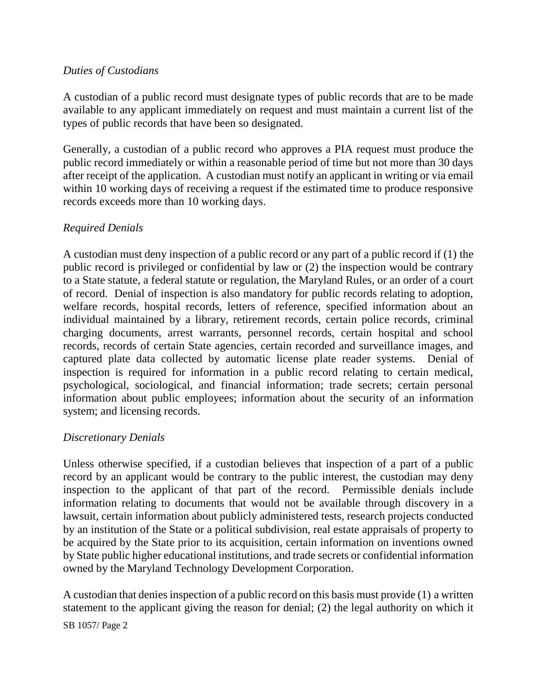# *Duties of Custodians*

A custodian of a public record must designate types of public records that are to be made available to any applicant immediately on request and must maintain a current list of the types of public records that have been so designated.

Generally, a custodian of a public record who approves a PIA request must produce the public record immediately or within a reasonable period of time but not more than 30 days after receipt of the application. A custodian must notify an applicant in writing or via email within 10 working days of receiving a request if the estimated time to produce responsive records exceeds more than 10 working days.

# *Required Denials*

A custodian must deny inspection of a public record or any part of a public record if (1) the public record is privileged or confidential by law or (2) the inspection would be contrary to a State statute, a federal statute or regulation, the Maryland Rules, or an order of a court of record. Denial of inspection is also mandatory for public records relating to adoption, welfare records, hospital records, letters of reference, specified information about an individual maintained by a library, retirement records, certain police records, criminal charging documents, arrest warrants, personnel records, certain hospital and school records, records of certain State agencies, certain recorded and surveillance images, and captured plate data collected by automatic license plate reader systems. Denial of inspection is required for information in a public record relating to certain medical, psychological, sociological, and financial information; trade secrets; certain personal information about public employees; information about the security of an information system; and licensing records.

# *Discretionary Denials*

Unless otherwise specified, if a custodian believes that inspection of a part of a public record by an applicant would be contrary to the public interest, the custodian may deny inspection to the applicant of that part of the record. Permissible denials include information relating to documents that would not be available through discovery in a lawsuit, certain information about publicly administered tests, research projects conducted by an institution of the State or a political subdivision, real estate appraisals of property to be acquired by the State prior to its acquisition, certain information on inventions owned by State public higher educational institutions, and trade secrets or confidential information owned by the Maryland Technology Development Corporation.

A custodian that denies inspection of a public record on this basis must provide (1) a written statement to the applicant giving the reason for denial; (2) the legal authority on which it